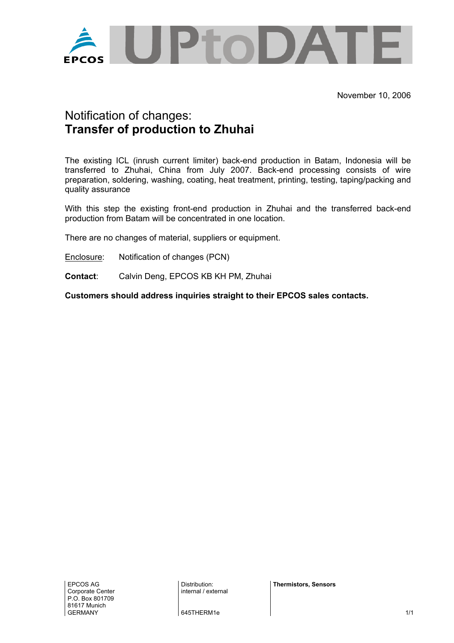

## Notification of changes: **Transfer of production to Zhuhai**

The existing ICL (inrush current limiter) back-end production in Batam, Indonesia will be transferred to Zhuhai, China from July 2007. Back-end processing consists of wire preparation, soldering, washing, coating, heat treatment, printing, testing, taping/packing and quality assurance

With this step the existing front-end production in Zhuhai and the transferred back-end production from Batam will be concentrated in one location.

There are no changes of material, suppliers or equipment.

Enclosure: Notification of changes (PCN)

**Contact**: Calvin Deng, EPCOS KB KH PM, Zhuhai

**Customers should address inquiries straight to their EPCOS sales contacts.** 

Distribution: internal / external **Thermistors, Sensors** 

645THERM1e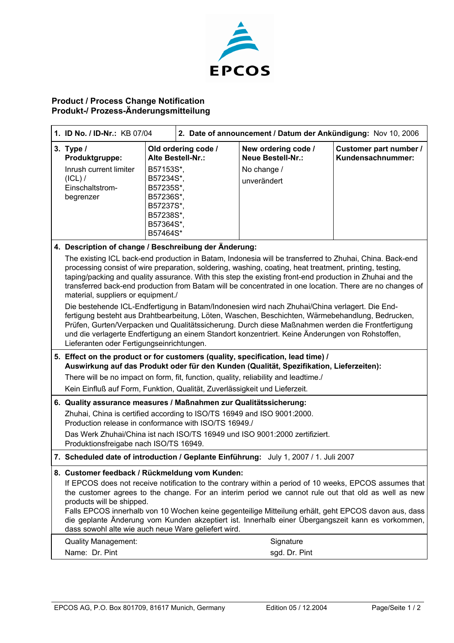

## **Product / Process Change Notification Produkt-/ Prozess-Änderungsmitteilung**

| 1. ID No. / ID-Nr.: KB 07/04                                                                                                                                                                                                                                                                                                                                                                                                                                                                                                                                     |                                                                                                                                                 | 2. Date of announcement / Datum der Ankündigung: Nov 10, 2006                 |                                             |  |
|------------------------------------------------------------------------------------------------------------------------------------------------------------------------------------------------------------------------------------------------------------------------------------------------------------------------------------------------------------------------------------------------------------------------------------------------------------------------------------------------------------------------------------------------------------------|-------------------------------------------------------------------------------------------------------------------------------------------------|-------------------------------------------------------------------------------|---------------------------------------------|--|
| 3. Type /<br>Produktgruppe:<br>Inrush current limiter<br>$(ICL)$ /<br>Einschaltstrom-<br>begrenzer                                                                                                                                                                                                                                                                                                                                                                                                                                                               | Old ordering code /<br>Alte Bestell-Nr.:<br>B57153S*,<br>B57234S*,<br>B57235S*,<br>B57236S*,<br>B57237S*.<br>B57238S*,<br>B57364S*,<br>B57464S* | New ordering code /<br><b>Neue Bestell-Nr.:</b><br>No change /<br>unverändert | Customer part number /<br>Kundensachnummer: |  |
| 4. Description of change / Beschreibung der Änderung:                                                                                                                                                                                                                                                                                                                                                                                                                                                                                                            |                                                                                                                                                 |                                                                               |                                             |  |
| The existing ICL back-end production in Batam, Indonesia will be transferred to Zhuhai, China. Back-end<br>processing consist of wire preparation, soldering, washing, coating, heat treatment, printing, testing,<br>taping/packing and quality assurance. With this step the existing front-end production in Zhuhai and the<br>transferred back-end production from Batam will be concentrated in one location. There are no changes of<br>material, suppliers or equipment./                                                                                 |                                                                                                                                                 |                                                                               |                                             |  |
| Die bestehende ICL-Endfertigung in Batam/Indonesien wird nach Zhuhai/China verlagert. Die End-<br>fertigung besteht aus Drahtbearbeitung, Löten, Waschen, Beschichten, Wärmebehandlung, Bedrucken,<br>Prüfen, Gurten/Verpacken und Qualitätssicherung. Durch diese Maßnahmen werden die Frontfertigung<br>und die verlagerte Endfertigung an einem Standort konzentriert. Keine Änderungen von Rohstoffen,<br>Lieferanten oder Fertigungseinrichtungen.                                                                                                          |                                                                                                                                                 |                                                                               |                                             |  |
| 5. Effect on the product or for customers (quality, specification, lead time) /<br>Auswirkung auf das Produkt oder für den Kunden (Qualität, Spezifikation, Lieferzeiten):                                                                                                                                                                                                                                                                                                                                                                                       |                                                                                                                                                 |                                                                               |                                             |  |
| There will be no impact on form, fit, function, quality, reliability and leadtime./                                                                                                                                                                                                                                                                                                                                                                                                                                                                              |                                                                                                                                                 |                                                                               |                                             |  |
| Kein Einfluß auf Form, Funktion, Qualität, Zuverlässigkeit und Lieferzeit.                                                                                                                                                                                                                                                                                                                                                                                                                                                                                       |                                                                                                                                                 |                                                                               |                                             |  |
| 6. Quality assurance measures / Maßnahmen zur Qualitätssicherung:                                                                                                                                                                                                                                                                                                                                                                                                                                                                                                |                                                                                                                                                 |                                                                               |                                             |  |
| Zhuhai, China is certified according to ISO/TS 16949 and ISO 9001:2000.<br>Production release in conformance with ISO/TS 16949./                                                                                                                                                                                                                                                                                                                                                                                                                                 |                                                                                                                                                 |                                                                               |                                             |  |
| Das Werk Zhuhai/China ist nach ISO/TS 16949 und ISO 9001:2000 zertifiziert.<br>Produktionsfreigabe nach ISO/TS 16949.                                                                                                                                                                                                                                                                                                                                                                                                                                            |                                                                                                                                                 |                                                                               |                                             |  |
| 7. Scheduled date of introduction / Geplante Einführung: July 1, 2007 / 1. Juli 2007                                                                                                                                                                                                                                                                                                                                                                                                                                                                             |                                                                                                                                                 |                                                                               |                                             |  |
| 8. Customer feedback / Rückmeldung vom Kunden:<br>If EPCOS does not receive notification to the contrary within a period of 10 weeks, EPCOS assumes that<br>the customer agrees to the change. For an interim period we cannot rule out that old as well as new<br>products will be shipped.<br>Falls EPCOS innerhalb von 10 Wochen keine gegenteilige Mitteilung erhält, geht EPCOS davon aus, dass<br>die geplante Änderung vom Kunden akzeptiert ist. Innerhalb einer Übergangszeit kann es vorkommen,<br>dass sowohl alte wie auch neue Ware geliefert wird. |                                                                                                                                                 |                                                                               |                                             |  |
| <b>Quality Management:</b><br>Name: Dr. Pint                                                                                                                                                                                                                                                                                                                                                                                                                                                                                                                     |                                                                                                                                                 | Signature<br>sgd. Dr. Pint                                                    |                                             |  |